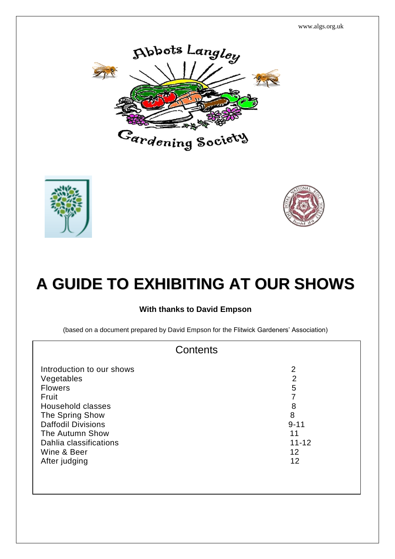www.algs.org.uk







# **A GUIDE TO EXHIBITING AT OUR SHOWS**

#### **With thanks to David Empson**

(based on a document prepared by David Empson for the Flitwick Gardeners' Association)

| Contents                                                                                                                                                                                                             |                                                                               |  |
|----------------------------------------------------------------------------------------------------------------------------------------------------------------------------------------------------------------------|-------------------------------------------------------------------------------|--|
| Introduction to our shows<br>Vegetables<br><b>Flowers</b><br>Fruit<br>Household classes<br>The Spring Show<br><b>Daffodil Divisions</b><br>The Autumn Show<br>Dahlia classifications<br>Wine & Beer<br>After judging | 2<br>$\overline{2}$<br>5<br>8<br>8<br>$9 - 11$<br>11<br>$11 - 12$<br>12<br>12 |  |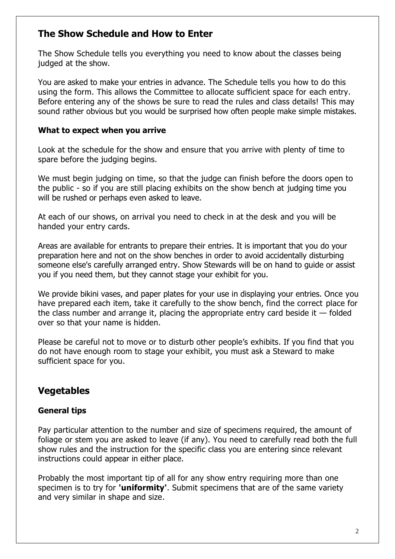# **The Show Schedule and How to Enter**

The Show Schedule tells you everything you need to know about the classes being judged at the show.

You are asked to make your entries in advance. The Schedule tells you how to do this using the form. This allows the Committee to allocate sufficient space for each entry. Before entering any of the shows be sure to read the rules and class details! This may sound rather obvious but you would be surprised how often people make simple mistakes.

#### **What to expect when you arrive**

Look at the schedule for the show and ensure that you arrive with plenty of time to spare before the judging begins.

We must begin judging on time, so that the judge can finish before the doors open to the public - so if you are still placing exhibits on the show bench at judging time you will be rushed or perhaps even asked to leave.

At each of our shows, on arrival you need to check in at the desk and you will be handed your entry cards.

Areas are available for entrants to prepare their entries. It is important that you do your preparation here and not on the show benches in order to avoid accidentally disturbing someone else's carefully arranged entry. Show Stewards will be on hand to guide or assist you if you need them, but they cannot stage your exhibit for you.

We provide bikini vases, and paper plates for your use in displaying your entries. Once you have prepared each item, take it carefully to the show bench, find the correct place for the class number and arrange it, placing the appropriate entry card beside it  $-$  folded over so that your name is hidden.

Please be careful not to move or to disturb other people's exhibits. If you find that you do not have enough room to stage your exhibit, you must ask a Steward to make sufficient space for you.

# **Vegetables**

# **General tips**

Pay particular attention to the number and size of specimens required, the amount of foliage or stem you are asked to leave (if any). You need to carefully read both the full show rules and the instruction for the specific class you are entering since relevant instructions could appear in either place.

Probably the most important tip of all for any show entry requiring more than one specimen is to try for **'uniformity'**. Submit specimens that are of the same variety and very similar in shape and size.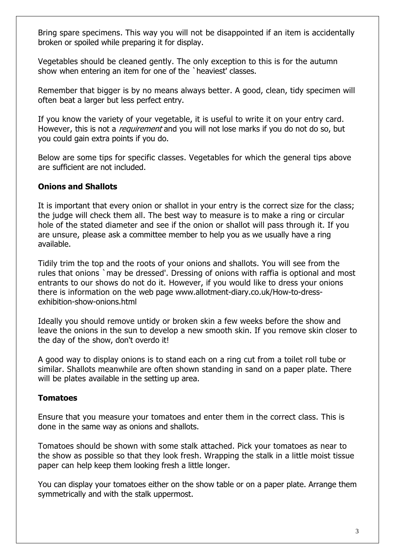Bring spare specimens. This way you will not be disappointed if an item is accidentally broken or spoiled while preparing it for display.

Vegetables should be cleaned gently. The only exception to this is for the autumn show when entering an item for one of the `heaviest' classes.

Remember that bigger is by no means always better. A good, clean, tidy specimen will often beat a larger but less perfect entry.

If you know the variety of your vegetable, it is useful to write it on your entry card. However, this is not a *requirement* and you will not lose marks if you do not do so, but you could gain extra points if you do.

Below are some tips for specific classes. Vegetables for which the general tips above are sufficient are not included.

#### **Onions and Shallots**

It is important that every onion or shallot in your entry is the correct size for the class; the judge will check them all. The best way to measure is to make a ring or circular hole of the stated diameter and see if the onion or shallot will pass through it. If you are unsure, please ask a committee member to help you as we usually have a ring available.

Tidily trim the top and the roots of your onions and shallots. You will see from the rules that onions `may be dressed'. Dressing of onions with raffia is optional and most entrants to our shows do not do it. However, if you would like to dress your onions there is information on the web page www.allotment-diary.co.uk/How-to-dressexhibition-show-onions.html

Ideally you should remove untidy or broken skin a few weeks before the show and leave the onions in the sun to develop a new smooth skin. If you remove skin closer to the day of the show, don't overdo it!

A good way to display onions is to stand each on a ring cut from a toilet roll tube or similar. Shallots meanwhile are often shown standing in sand on a paper plate. There will be plates available in the setting up area.

#### **Tomatoes**

Ensure that you measure your tomatoes and enter them in the correct class. This is done in the same way as onions and shallots.

Tomatoes should be shown with some stalk attached. Pick your tomatoes as near to the show as possible so that they look fresh. Wrapping the stalk in a little moist tissue paper can help keep them looking fresh a little longer.

You can display your tomatoes either on the show table or on a paper plate. Arrange them symmetrically and with the stalk uppermost.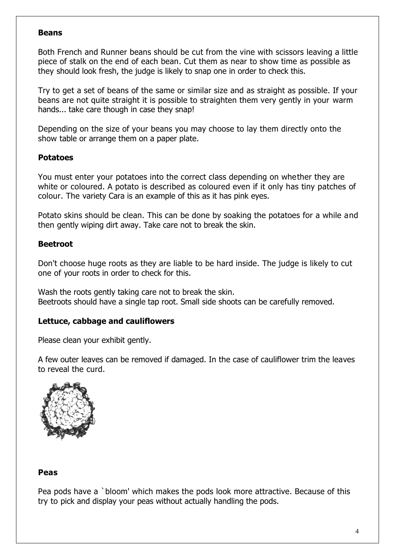#### **Beans**

Both French and Runner beans should be cut from the vine with scissors leaving a little piece of stalk on the end of each bean. Cut them as near to show time as possible as they should look fresh, the judge is likely to snap one in order to check this.

Try to get a set of beans of the same or similar size and as straight as possible. If your beans are not quite straight it is possible to straighten them very gently in your warm hands... take care though in case they snap!

Depending on the size of your beans you may choose to lay them directly onto the show table or arrange them on a paper plate.

#### **Potatoes**

You must enter your potatoes into the correct class depending on whether they are white or coloured. A potato is described as coloured even if it only has tiny patches of colour. The variety Cara is an example of this as it has pink eyes.

Potato skins should be clean. This can be done by soaking the potatoes for a while and then gently wiping dirt away. Take care not to break the skin.

#### **Beetroot**

Don't choose huge roots as they are liable to be hard inside. The judge is likely to cut one of your roots in order to check for this.

Wash the roots gently taking care not to break the skin. Beetroots should have a single tap root. Small side shoots can be carefully removed.

# **Lettuce, cabbage and cauliflowers**

Please clean your exhibit gently.

A few outer leaves can be removed if damaged. In the case of cauliflower trim the leaves to reveal the curd.



#### **Peas**

Pea pods have a `bloom' which makes the pods look more attractive. Because of this try to pick and display your peas without actually handling the pods.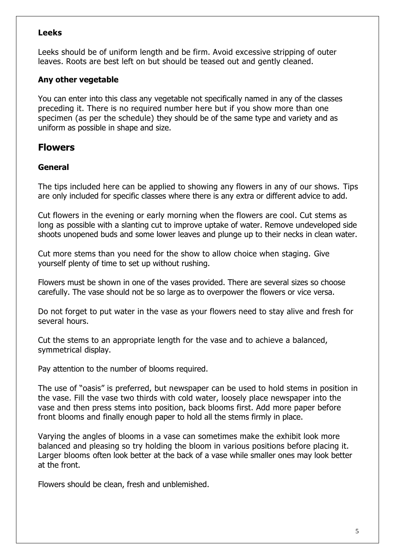#### **Leeks**

Leeks should be of uniform length and be firm. Avoid excessive stripping of outer leaves. Roots are best left on but should be teased out and gently cleaned.

# **Any other vegetable**

You can enter into this class any vegetable not specifically named in any of the classes preceding it. There is no required number here but if you show more than one specimen (as per the schedule) they should be of the same type and variety and as uniform as possible in shape and size.

# **Flowers**

#### **General**

The tips included here can be applied to showing any flowers in any of our shows. Tips are only included for specific classes where there is any extra or different advice to add.

Cut flowers in the evening or early morning when the flowers are cool. Cut stems as long as possible with a slanting cut to improve uptake of water. Remove undeveloped side shoots unopened buds and some lower leaves and plunge up to their necks in clean water.

Cut more stems than you need for the show to allow choice when staging. Give yourself plenty of time to set up without rushing.

Flowers must be shown in one of the vases provided. There are several sizes so choose carefully. The vase should not be so large as to overpower the flowers or vice versa.

Do not forget to put water in the vase as your flowers need to stay alive and fresh for several hours.

Cut the stems to an appropriate length for the vase and to achieve a balanced, symmetrical display.

Pay attention to the number of blooms required.

The use of "oasis" is preferred, but newspaper can be used to hold stems in position in the vase. Fill the vase two thirds with cold water, loosely place newspaper into the vase and then press stems into position, back blooms first. Add more paper before front blooms and finally enough paper to hold all the stems firmly in place.

Varying the angles of blooms in a vase can sometimes make the exhibit look more balanced and pleasing so try holding the bloom in various positions before placing it. Larger blooms often look better at the back of a vase while smaller ones may look better at the front.

Flowers should be clean, fresh and unblemished.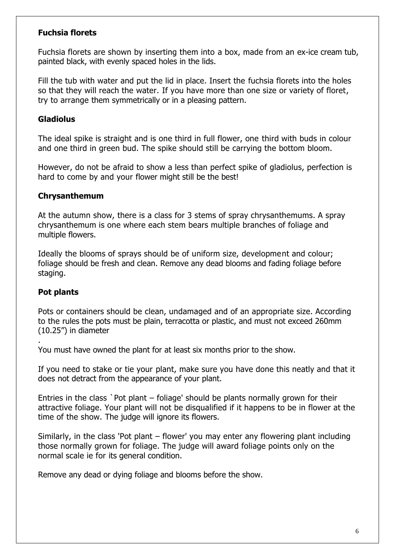#### **Fuchsia florets**

Fuchsia florets are shown by inserting them into a box, made from an ex-ice cream tub, painted black, with evenly spaced holes in the lids.

Fill the tub with water and put the lid in place. Insert the fuchsia florets into the holes so that they will reach the water. If you have more than one size or variety of floret, try to arrange them symmetrically or in a pleasing pattern.

#### **Gladiolus**

The ideal spike is straight and is one third in full flower, one third with buds in colour and one third in green bud. The spike should still be carrying the bottom bloom.

However, do not be afraid to show a less than perfect spike of gladiolus, perfection is hard to come by and your flower might still be the best!

#### **Chrysanthemum**

At the autumn show, there is a class for 3 stems of spray chrysanthemums. A spray chrysanthemum is one where each stem bears multiple branches of foliage and multiple flowers.

Ideally the blooms of sprays should be of uniform size, development and colour; foliage should be fresh and clean. Remove any dead blooms and fading foliage before staging.

#### **Pot plants**

.

Pots or containers should be clean, undamaged and of an appropriate size. According to the rules the pots must be plain, terracotta or plastic, and must not exceed 260mm (10.25") in diameter

You must have owned the plant for at least six months prior to the show.

If you need to stake or tie your plant, make sure you have done this neatly and that it does not detract from the appearance of your plant.

Entries in the class `Pot plant – foliage' should be plants normally grown for their attractive foliage. Your plant will not be disqualified if it happens to be in flower at the time of the show. The judge will ignore its flowers.

Similarly, in the class 'Pot plant – flower' you may enter any flowering plant including those normally grown for foliage. The judge will award foliage points only on the normal scale ie for its general condition.

Remove any dead or dying foliage and blooms before the show.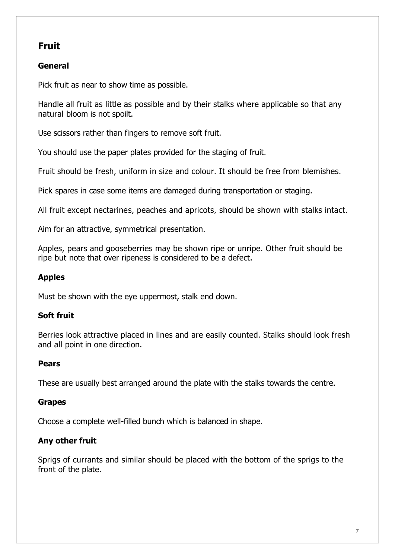# **Fruit**

# **General**

Pick fruit as near to show time as possible.

Handle all fruit as little as possible and by their stalks where applicable so that any natural bloom is not spoilt.

Use scissors rather than fingers to remove soft fruit.

You should use the paper plates provided for the staging of fruit.

Fruit should be fresh, uniform in size and colour. It should be free from blemishes.

Pick spares in case some items are damaged during transportation or staging.

All fruit except nectarines, peaches and apricots, should be shown with stalks intact.

Aim for an attractive, symmetrical presentation.

Apples, pears and gooseberries may be shown ripe or unripe. Other fruit should be ripe but note that over ripeness is considered to be a defect.

# **Apples**

Must be shown with the eye uppermost, stalk end down.

# **Soft fruit**

Berries look attractive placed in lines and are easily counted. Stalks should look fresh and all point in one direction.

# **Pears**

These are usually best arranged around the plate with the stalks towards the centre.

# **Grapes**

Choose a complete well-filled bunch which is balanced in shape.

# **Any other fruit**

Sprigs of currants and similar should be placed with the bottom of the sprigs to the front of the plate.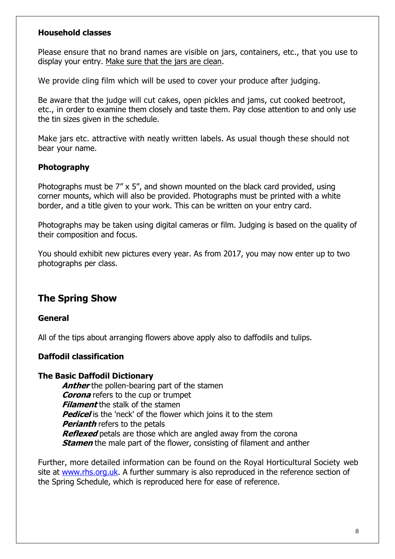#### **Household classes**

Please ensure that no brand names are visible on jars, containers, etc., that you use to display your entry. Make sure that the jars are clean.

We provide cling film which will be used to cover your produce after judging.

Be aware that the judge will cut cakes, open pickles and jams, cut cooked beetroot, etc., in order to examine them closely and taste them. Pay close attention to and only use the tin sizes given in the schedule.

Make jars etc. attractive with neatly written labels. As usual though these should not bear your name.

#### **Photography**

Photographs must be 7" x 5", and shown mounted on the black card provided, using corner mounts, which will also be provided. Photographs must be printed with a white border, and a title given to your work. This can be written on your entry card.

Photographs may be taken using digital cameras or film. Judging is based on the quality of their composition and focus.

You should exhibit new pictures every year. As from 2017, you may now enter up to two photographs per class.

# **The Spring Show**

#### **General**

All of the tips about arranging flowers above apply also to daffodils and tulips.

#### **Daffodil classification**

#### **The Basic Daffodil Dictionary**

**Anther** the pollen-bearing part of the stamen **Corona** refers to the cup or trumpet **Filament** the stalk of the stamen **Pedicel** is the 'neck' of the flower which joins it to the stem **Perianth** refers to the petals **Reflexed** petals are those which are angled away from the corona **Stamen** the male part of the flower, consisting of filament and anther

Further, more detailed information can be found on the Royal Horticultural Society web site at [www.rhs.org.uk.](http://www.rhs.org.uk/) A further summary is also reproduced in the reference section of the Spring Schedule, which is reproduced here for ease of reference.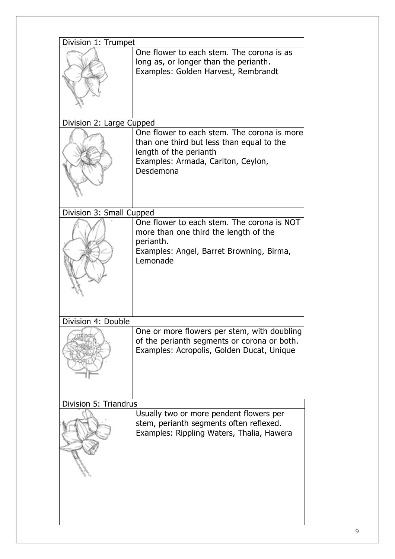| Division 1: Trumpet      |                                                                                                                                                                       |  |
|--------------------------|-----------------------------------------------------------------------------------------------------------------------------------------------------------------------|--|
|                          | One flower to each stem. The corona is as<br>long as, or longer than the perianth.<br>Examples: Golden Harvest, Rembrandt                                             |  |
| Division 2: Large Cupped |                                                                                                                                                                       |  |
|                          | One flower to each stem. The corona is more<br>than one third but less than equal to the<br>length of the perianth<br>Examples: Armada, Carlton, Ceylon,<br>Desdemona |  |
| Division 3: Small Cupped |                                                                                                                                                                       |  |
|                          | One flower to each stem. The corona is NOT<br>more than one third the length of the<br>perianth.<br>Examples: Angel, Barret Browning, Birma,<br>Lemonade              |  |
| Division 4: Double       |                                                                                                                                                                       |  |
|                          | One or more flowers per stem, with doubling<br>of the perianth segments or corona or both.<br>Examples: Acropolis, Golden Ducat, Unique                               |  |
| Division 5: Triandrus    |                                                                                                                                                                       |  |
|                          | Usually two or more pendent flowers per<br>stem, perianth segments often reflexed.<br>Examples: Rippling Waters, Thalia, Hawera                                       |  |
|                          |                                                                                                                                                                       |  |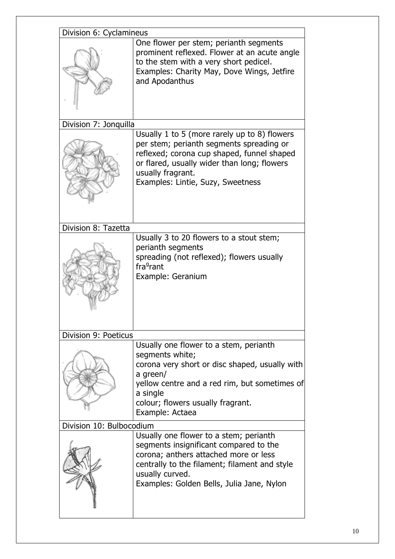| Division 6: Cyclamineus  |                                                                                                                                                                                                                                                 |  |
|--------------------------|-------------------------------------------------------------------------------------------------------------------------------------------------------------------------------------------------------------------------------------------------|--|
|                          | One flower per stem; perianth segments<br>prominent reflexed. Flower at an acute angle<br>to the stem with a very short pedicel.<br>Examples: Charity May, Dove Wings, Jetfire<br>and Apodanthus                                                |  |
| Division 7: Jonquilla    |                                                                                                                                                                                                                                                 |  |
|                          | Usually 1 to 5 (more rarely up to 8) flowers<br>per stem; perianth segments spreading or<br>reflexed; corona cup shaped, funnel shaped<br>or flared, usually wider than long; flowers<br>usually fragrant.<br>Examples: Lintie, Suzy, Sweetness |  |
| Division 8: Tazetta      |                                                                                                                                                                                                                                                 |  |
|                          | Usually 3 to 20 flowers to a stout stem;<br>perianth segments<br>spreading (not reflexed); flowers usually<br>fra <sup>9</sup> rant<br>Example: Geranium                                                                                        |  |
| Division 9: Poeticus     |                                                                                                                                                                                                                                                 |  |
|                          | Usually one flower to a stem, perianth<br>segments white;<br>corona very short or disc shaped, usually with<br>a green/<br>yellow centre and a red rim, but sometimes of<br>a single<br>colour; flowers usually fragrant.<br>Example: Actaea    |  |
| Division 10: Bulbocodium |                                                                                                                                                                                                                                                 |  |
|                          | Usually one flower to a stem; perianth<br>segments insignificant compared to the<br>corona; anthers attached more or less<br>centrally to the filament; filament and style<br>usually curved.<br>Examples: Golden Bells, Julia Jane, Nylon      |  |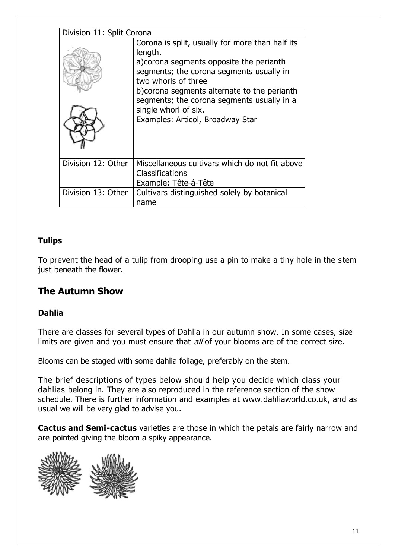| Division 11: Split Corona |                                                                                                                                                                                                                                                                                                 |  |
|---------------------------|-------------------------------------------------------------------------------------------------------------------------------------------------------------------------------------------------------------------------------------------------------------------------------------------------|--|
|                           | Corona is split, usually for more than half its<br>length.<br>a) corona segments opposite the perianth<br>segments; the corona segments usually in<br>two whorls of three<br>b) corona segments alternate to the perianth<br>segments; the corona segments usually in a<br>single whorl of six. |  |
|                           | Examples: Articol, Broadway Star                                                                                                                                                                                                                                                                |  |
| Division 12: Other        | Miscellaneous cultivars which do not fit above<br><b>Classifications</b><br>Example: Tête-á-Tête                                                                                                                                                                                                |  |
| Division 13: Other        | Cultivars distinguished solely by botanical<br>name                                                                                                                                                                                                                                             |  |

# **Tulips**

To prevent the head of a tulip from drooping use a pin to make a tiny hole in the s tem just beneath the flower.

# **The Autumn Show**

# **Dahlia**

There are classes for several types of Dahlia in our autumn show. In some cases, size limits are given and you must ensure that all of your blooms are of the correct size.

Blooms can be staged with some dahlia foliage, preferably on the stem.

The brief descriptions of types below should help you decide which class your dahlias belong in. They are also reproduced in the reference section of the show schedule. There is further information and examples at www.dahliaworld.co.uk, and as usual we will be very glad to advise you.

**Cactus and Semi-cactus** varieties are those in which the petals are fairly narrow and are pointed giving the bloom a spiky appearance.

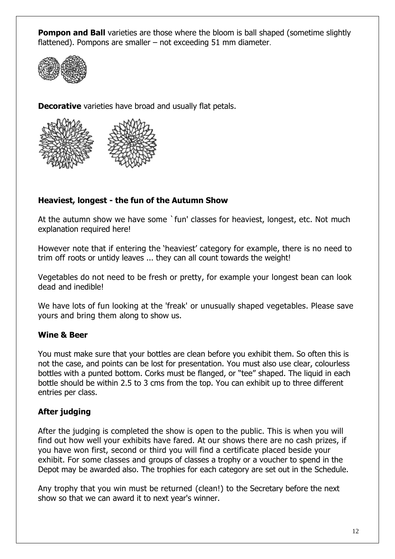**Pompon and Ball** varieties are those where the bloom is ball shaped (sometime slightly flattened). Pompons are smaller – not exceeding 51 mm diameter.



**Decorative** varieties have broad and usually flat petals.



# **Heaviest, longest - the fun of the Autumn Show**

At the autumn show we have some `fun' classes for heaviest, longest, etc. Not much explanation required here!

However note that if entering the 'heaviest' category for example, there is no need to trim off roots or untidy leaves ... they can all count towards the weight!

Vegetables do not need to be fresh or pretty, for example your longest bean can look dead and inedible!

We have lots of fun looking at the 'freak' or unusually shaped vegetables. Please save yours and bring them along to show us.

# **Wine & Beer**

You must make sure that your bottles are clean before you exhibit them. So often this is not the case, and points can be lost for presentation. You must also use clear, colourless bottles with a punted bottom. Corks must be flanged, or "tee" shaped. The liquid in each bottle should be within 2.5 to 3 cms from the top. You can exhibit up to three different entries per class.

# **After judging**

After the judging is completed the show is open to the public. This is when you will find out how well your exhibits have fared. At our shows there are no cash prizes, if you have won first, second or third you will find a certificate placed beside your exhibit. For some classes and groups of classes a trophy or a voucher to spend in the Depot may be awarded also. The trophies for each category are set out in the Schedule.

Any trophy that you win must be returned (clean!) to the Secretary before the next show so that we can award it to next year's winner.